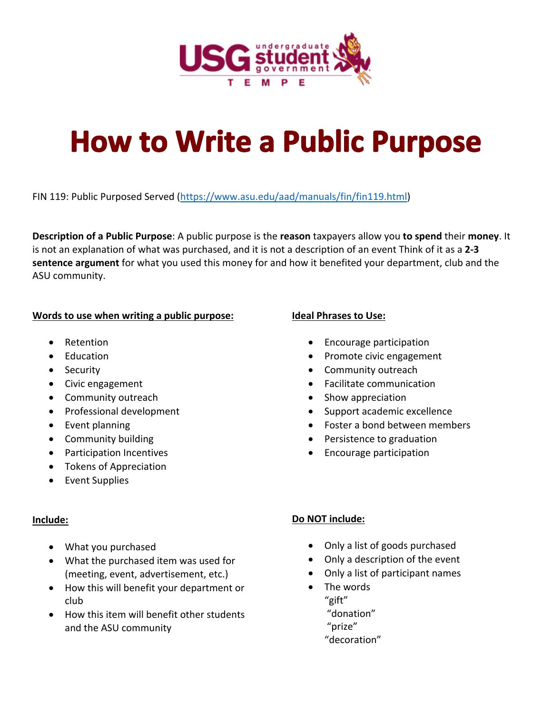

# **How to Write a Public Purpose**

FIN 119: Public Purposed Served (https://www.asu.edu/aad/manuals/fin/fin119.html)

**Description of a Public Purpose**: A public purpose is the **reason** taxpayers allow you **to spend** their **money**. It is not an explanation of what was purchased, and it is not a description of an event Think of it as a **2‐3 sentence argument** for what you used this money for and how it benefited your department, club and the ASU community.

#### **Words to use when writing a public purpose:**

- Retention
- Education
- Security
- Civic engagement
- Community outreach
- Professional development
- Event planning
- Community building
- Participation Incentives
- Tokens of Appreciation
- Event Supplies

## **Include:**

- What you purchased
- What the purchased item was used for (meeting, event, advertisement, etc.)
- How this will benefit your department or club
- How this item will benefit other students and the ASU community

## **Ideal Phrases to Use:**

- Encourage participation
- Promote civic engagement
- Community outreach
- Facilitate communication
- Show appreciation
- Support academic excellence
- Foster a bond between members
- Persistence to graduation
- Encourage participation

## **Do NOT include:**

- Only a list of goods purchased
- Only a description of the event
- Only a list of participant names
- The words "gift" "donation" "prize" "decoration"